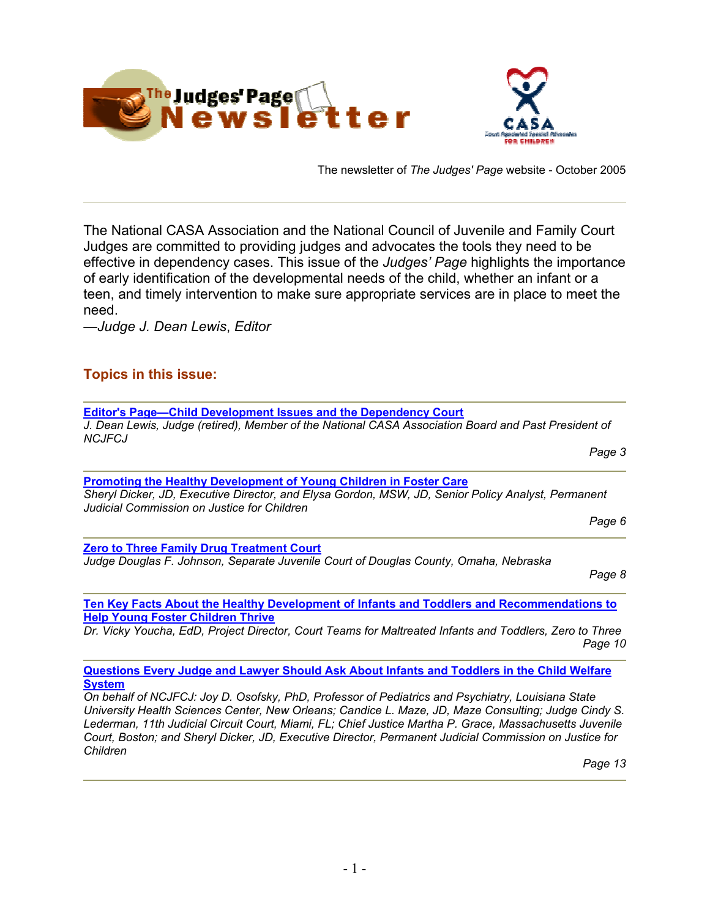

The newsletter of *The Judges' Page* website - October 2005

The National CASA Association and the National Council of Juvenile and Family Court Judges are committed to providing judges and advocates the tools they need to be effective in dependency cases. This issue of the *Judges' Page* highlights the importance of early identification of the developmental needs of the child, whether an infant or a teen, and timely intervention to make sure appropriate services are in place to meet the need.

—*Judge J. Dean Lewis*, *Editor*

# **Topics in this issue:**

| <b>Editor's Page-Child Development Issues and the Dependency Court</b>                                                                            |
|---------------------------------------------------------------------------------------------------------------------------------------------------|
| J. Dean Lewis, Judge (retired), Member of the National CASA Association Board and Past President of<br><b>NCJFCJ</b>                              |
| Page 3                                                                                                                                            |
| <b>Promoting the Healthy Development of Young Children in Foster Care</b>                                                                         |
| Sheryl Dicker, JD, Executive Director, and Elysa Gordon, MSW, JD, Senior Policy Analyst, Permanent<br>Judicial Commission on Justice for Children |
| Page 6                                                                                                                                            |
| <b>Zero to Three Family Drug Treatment Court</b>                                                                                                  |
| Judge Douglas F. Johnson, Separate Juvenile Court of Douglas County, Omaha, Nebraska<br>Page 8                                                    |
| Ten Key Facts About the Healthy Development of Infants and Toddlers and Recommendations to                                                        |
| <b>Help Young Foster Children Thrive</b>                                                                                                          |
| Dr. Vicky Youcha, EdD, Project Director, Court Teams for Maltreated Infants and Toddlers, Zero to Three<br>Page 10                                |

**Questions Every Judge and Lawyer Should Ask About Infants and Toddlers in the Child Welfare System**

*On behalf of NCJFCJ: Joy D. Osofsky, PhD, Professor of Pediatrics and Psychiatry, Louisiana State University Health Sciences Center, New Orleans; Candice L. Maze, JD, Maze Consulting; Judge Cindy S. Lederman, 11th Judicial Circuit Court, Miami, FL; Chief Justice Martha P. Grace, Massachusetts Juvenile Court, Boston; and Sheryl Dicker, JD, Executive Director, Permanent Judicial Commission on Justice for Children* 

*Page 13*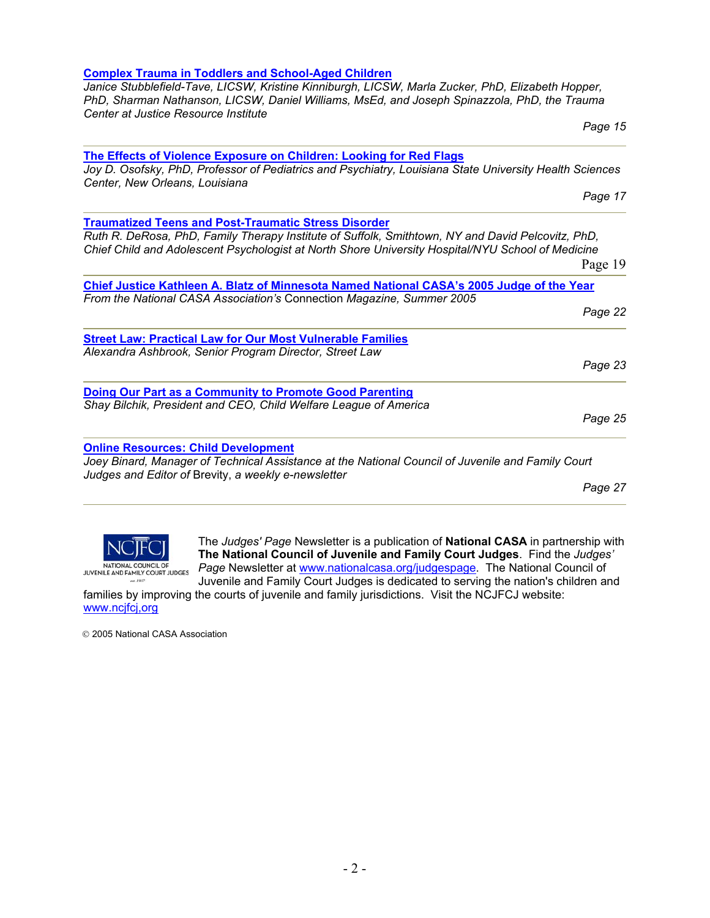#### **The Effects of Violence Exposure on Children: Looking for Red Flags** *Joy D. Osofsky, PhD, Professor of Pediatrics and Psychiatry, Louisiana State University Health Sciences*

*Center, New Orleans, Louisiana*  **Traumatized Teens and Post-Traumatic Stress Disorder**  *Ruth R. DeRosa, PhD, Family Therapy Institute of Suffolk, Smithtown, NY and David Pelcovitz, PhD, Chief Child and Adolescent Psychologist at North Shore University Hospital/NYU School of Medicine*  Page 19 **Chief Justice Kathleen A. Blatz of Minnesota Named National CASA's 2005 Judge of the Year** *From the National CASA Association's* Connection *Magazine, Summer 2005 Page 22*  **Street Law: Practical Law for Our Most Vulnerable Families** *Alexandra Ashbrook, Senior Program Director, Street Law Page 23*  **Doing Our Part as a Community to Promote Good Parenting**  *Shay Bilchik, President and CEO, Child Welfare League of America Page 25*  **Online Resources: Child Development**

*Joey Binard, Manager of Technical Assistance at the National Council of Juvenile and Family Court Judges and Editor of* Brevity, *a weekly e-newsletter* 

*Page 27* 



The *Judges' Page* Newsletter is a publication of **National CASA** in partnership w ith **The National Council of Juvenile and Family Court Judges**. Find the *Judges '* Page Newsletter at www.nationalcasa.org/judgespage. The National Council of Juvenile and Family Court Judges is dedicated to serving the nation's children and

families by improving the courts of juvenile and family jurisdictions. Visit the NCJFCJ website: www.ncjf cj,org

2005 National CASA Association

# **Complex Trauma in Toddlers and School-Aged Children**

#### *Janice Stubblefield-Tave, LICSW, Kristine Kinniburgh, LICSW, Marla Zucker, PhD, Elizabeth Hopper, PhD, Sharman Nathanson, LICSW, Daniel Williams, MsEd, and Joseph Spinazzola, PhD, the Trauma Center at Justice Resource Institute*

*Page 15* 

*Page 17*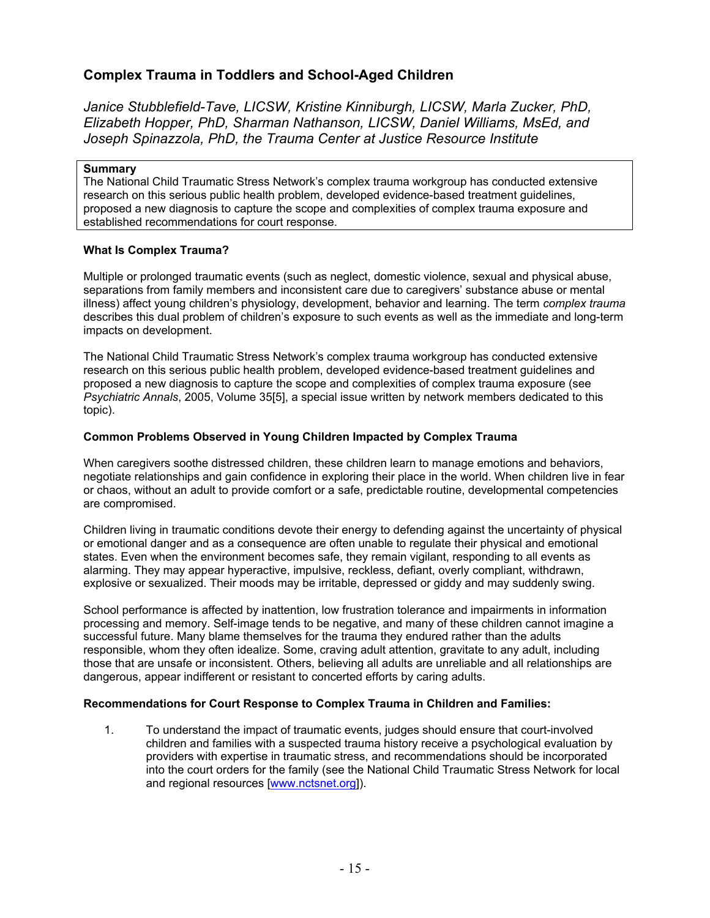# **Complex Trauma in Toddlers and School-Aged Children**

*Janice Stubblefield-Tave, LICSW, Kristine Kinniburgh, LICSW, Marla Zucker, PhD, Elizabeth Hopper, PhD, Sharman Nathanson, LICSW, Daniel Williams, MsEd, and Joseph Spinazzola, PhD, the Trauma Center at Justice Resource Institute* 

### **Summary**

The National Child Traumatic Stress Network's complex trauma workgroup has conducted extensive research on this serious public health problem, developed evidence-based treatment guidelines, proposed a new diagnosis to capture the scope and complexities of complex trauma exposure and established recommendations for court response.

# **What Is Complex Trauma?**

Multiple or prolonged traumatic events (such as neglect, domestic violence, sexual and physical abuse, separations from family members and inconsistent care due to caregivers' substance abuse or mental illness) affect young children's physiology, development, behavior and learning. The term *complex trauma* describes this dual problem of children's exposure to such events as well as the immediate and long-term impacts on development.

The National Child Traumatic Stress Network's complex trauma workgroup has conducted extensive research on this serious public health problem, developed evidence-based treatment guidelines and proposed a new diagnosis to capture the scope and complexities of complex trauma exposure (see *Psychiatric Annals*, 2005, Volume 35[5], a special issue written by network members dedicated to this topic).

# **Common Problems Observed in Young Children Impacted by Complex Trauma**

When caregivers soothe distressed children, these children learn to manage emotions and behaviors, negotiate relationships and gain confidence in exploring their place in the world. When children live in fear or chaos, without an adult to provide comfort or a safe, predictable routine, developmental competencies are compromised.

Children living in traumatic conditions devote their energy to defending against the uncertainty of physical or emotional danger and as a consequence are often unable to regulate their physical and emotional states. Even when the environment becomes safe, they remain vigilant, responding to all events as alarming. They may appear hyperactive, impulsive, reckless, defiant, overly compliant, withdrawn, explosive or sexualized. Their moods may be irritable, depressed or giddy and may suddenly swing.

School performance is affected by inattention, low frustration tolerance and impairments in information processing and memory. Self-image tends to be negative, and many of these children cannot imagine a successful future. Many blame themselves for the trauma they endured rather than the adults responsible, whom they often idealize. Some, craving adult attention, gravitate to any adult, including those that are unsafe or inconsistent. Others, believing all adults are unreliable and all relationships are dangerous, appear indifferent or resistant to concerted efforts by caring adults.

# **Recommendations for Court Response to Complex Trauma in Children and Families:**

1. To understand the impact of traumatic events, judges should ensure that court-involved children and families with a suspected trauma history receive a psychological evaluation by providers with expertise in traumatic stress, and recommendations should be incorporated into the court orders for the family (see the National Child Traumatic Stress Network for local and regional resources [www.nctsnet.org]).